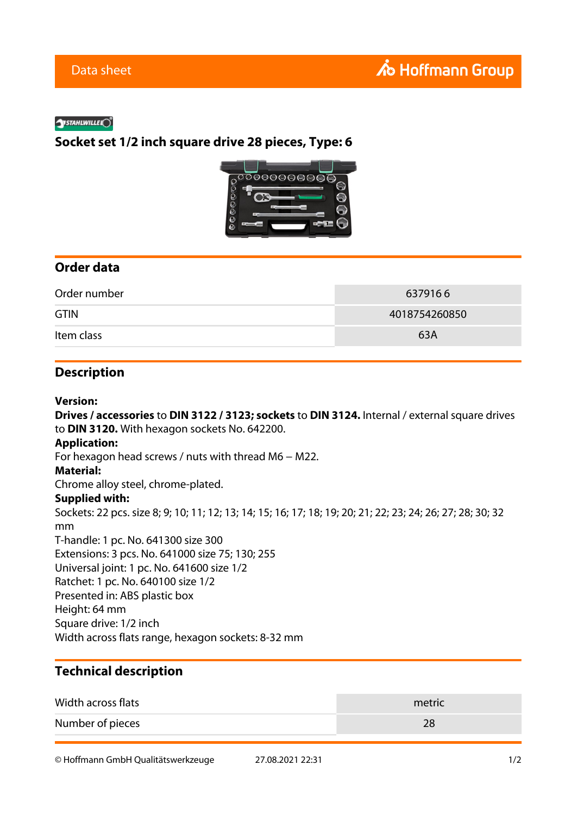#### **SYSTAHLWILLELO**

# **Socket set 1/2 inch square drive 28 pieces, Type: 6**



## **Order data**

| Order number | 6379166       |
|--------------|---------------|
| <b>GTIN</b>  | 4018754260850 |
| Item class   | 63A           |

### **Description**

#### **Version:**

**Drives / accessories** to **DIN 3122 / 3123; sockets** to **DIN 3124.** Internal / external square drives to **DIN 3120.** With hexagon sockets No. 642200. **Application:** For hexagon head screws / nuts with thread M6 − M22. **Material:** Chrome alloy steel, chrome-plated. **Supplied with:** Sockets: 22 pcs. size 8; 9; 10; 11; 12; 13; 14; 15; 16; 17; 18; 19; 20; 21; 22; 23; 24; 26; 27; 28; 30; 32 mm T-handle: 1 pc. No. 641300 size 300 Extensions: 3 pcs. No. 641000 size 75; 130; 255 Universal joint: 1 pc. No. 641600 size 1/2 Ratchet: 1 pc. No. 640100 size 1/2 Presented in: ABS plastic box Height: 64 mm Square drive: 1/2 inch Width across flats range, hexagon sockets: 8-32 mm

# **Technical description**

| Width across flats | metric |
|--------------------|--------|
| Number of pieces   |        |

© Hoffmann GmbH Qualitätswerkzeuge 27.08.2021 22:31 1/2